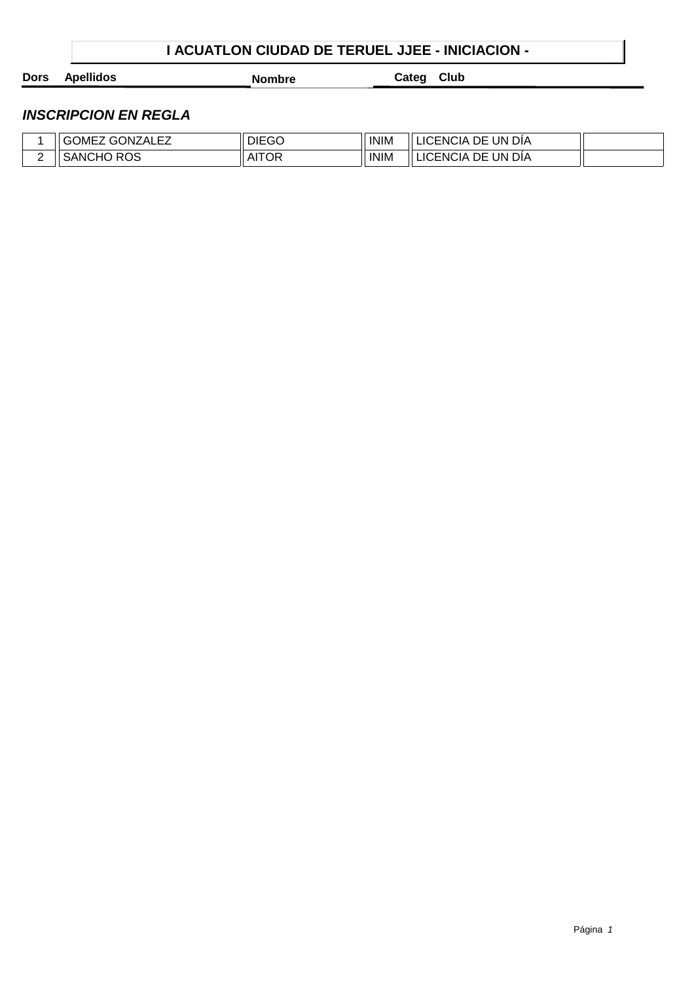## **I ACUATLON CIUDAD DE TERUEL JJEE - INICIACION -**

**Dors Apellidos Nombre Categ Club**

|   | 1 E Z<br>. GONZAI<br><b>OMEZ</b><br>UЛ<br>਼ ∧∟∟∠ੁ | <b>DIEGO</b> | <b>INIM</b> | UN<br>LICENCIA<br>DIA<br>DE        |  |
|---|---------------------------------------------------|--------------|-------------|------------------------------------|--|
| - | <b>ROS</b><br>SANCHO                              | <b>AITOR</b> | <b>INIM</b> | UN.<br>ÆNCIA.<br>DIA<br>DE<br>LIC. |  |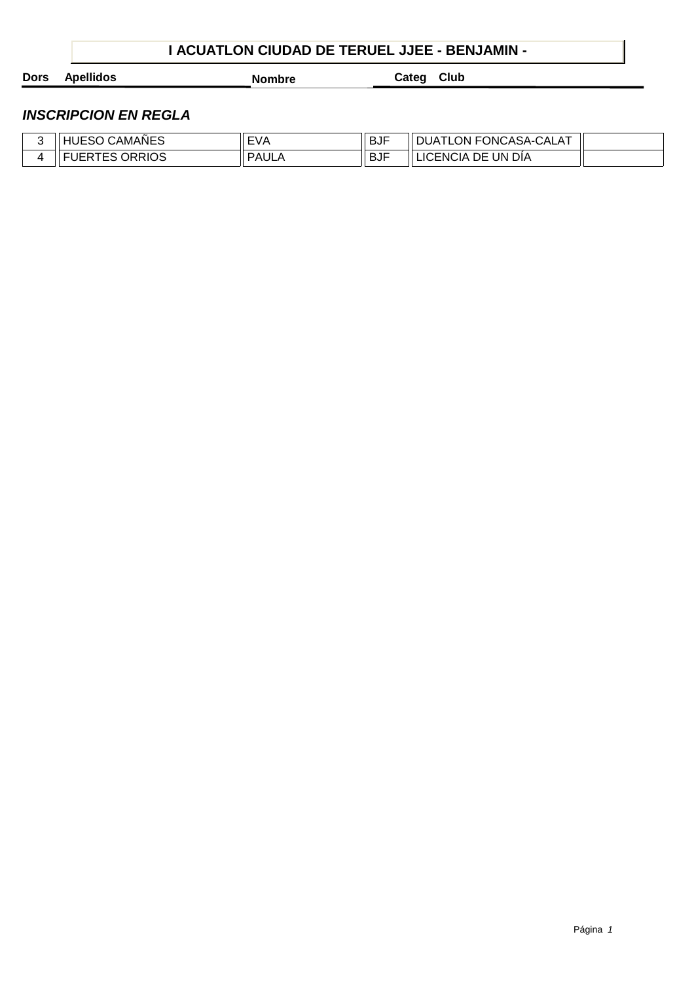## **I ACUATLON CIUDAD DE TERUEL JJEE - BENJAMIN -**

**Dors Apellidos Nombre Categ Club**

| CAMAÑES<br>.<br>. .<br>. ∟ບບ :     | FVA<br>. . v<br>,,, | .<br>⊣∪ت  | <b>FONCASA-</b><br>$\Lambda$ T<br>N-CALA.<br>ON.<br>JI JA<br>-- |  |
|------------------------------------|---------------------|-----------|-----------------------------------------------------------------|--|
| <b>ORRIOS</b><br>-UER<br>--<br>ີ∟ພ | PAUL,               | шm<br>⊣لٽ | UN<br>DİA<br>IC<br>DE<br>ENCIA                                  |  |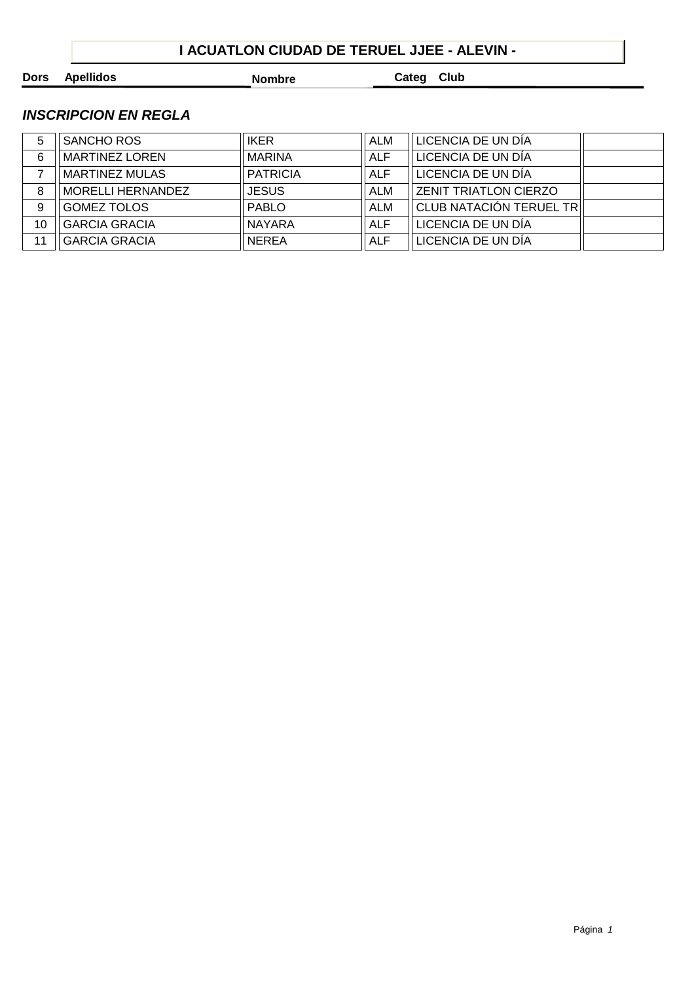## **I ACUATLON CIUDAD DE TERUEL JJEE - ALEVIN -**

**Dors Apellidos Nombre Categ Club**

| <b>IKER</b><br>ALM<br>LICENCIA DE UN DÍA<br>SANCHO ROS<br>5<br>LICENCIA DE UN DÍA<br><b>MARINA</b><br><b>MARTINEZ LOREN</b><br><b>ALF</b><br>6<br>LICENCIA DE UN DÍA<br><b>MARTINEZ MULAS</b><br><b>PATRICIA</b><br><b>ALF</b><br><b>JESUS</b><br><b>ZENIT TRIATLON CIERZO</b><br>MORELLI HERNANDEZ<br>ALM<br>8<br>CLUB NATACIÓN TERUEL TR<br><b>GOMEZ TOLOS</b><br><b>PABLO</b><br>9<br>ALM<br>LICENCIA DE UN DÍA<br><b>GARCIA GRACIA</b><br><b>ALF</b><br><b>NAYARA</b><br>10<br>LICENCIA DE UN DÍA<br><b>GARCIA GRACIA</b><br><b>NEREA</b><br><b>ALF</b><br>11 |  |  |  |
|-------------------------------------------------------------------------------------------------------------------------------------------------------------------------------------------------------------------------------------------------------------------------------------------------------------------------------------------------------------------------------------------------------------------------------------------------------------------------------------------------------------------------------------------------------------------|--|--|--|
|                                                                                                                                                                                                                                                                                                                                                                                                                                                                                                                                                                   |  |  |  |
|                                                                                                                                                                                                                                                                                                                                                                                                                                                                                                                                                                   |  |  |  |
|                                                                                                                                                                                                                                                                                                                                                                                                                                                                                                                                                                   |  |  |  |
|                                                                                                                                                                                                                                                                                                                                                                                                                                                                                                                                                                   |  |  |  |
|                                                                                                                                                                                                                                                                                                                                                                                                                                                                                                                                                                   |  |  |  |
|                                                                                                                                                                                                                                                                                                                                                                                                                                                                                                                                                                   |  |  |  |
|                                                                                                                                                                                                                                                                                                                                                                                                                                                                                                                                                                   |  |  |  |